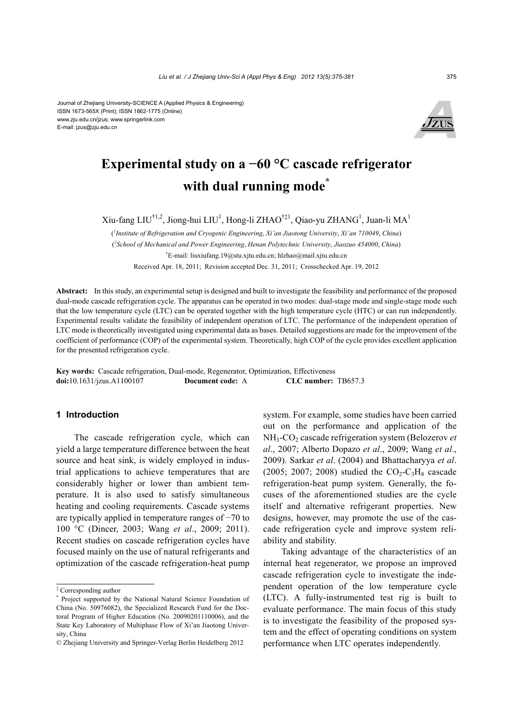

# **Experimental study on a −60 °C cascade refrigerator**  with dual running mode<sup>\*</sup>

Xiu-fang LIU<sup>†1,2</sup>, Jiong-hui LIU<sup>1</sup>, Hong-li ZHAO<sup>†‡1</sup>, Qiao-yu ZHANG<sup>1</sup>, Juan-li MA<sup>1</sup>

( *1 Institute of Refrigeration and Cryogenic Engineering*, *Xi'an Jiaotong University*, *Xi'an 710049*, *China*) ( *2 School of Mechanical and Power Engineering*, *Henan Polytechnic University*, *Jiaozuo 454000*, *China*) † E-mail: liuxiufang.19@stu.xjtu.edu.cn; hlzhao@mail.xjtu.edu.cn Received Apr. 18, 2011; Revision accepted Dec. 31, 2011; Crosschecked Apr. 19, 2012

**Abstract:** In this study, an experimental setup is designed and built to investigate the feasibility and performance of the proposed dual-mode cascade refrigeration cycle. The apparatus can be operated in two modes: dual-stage mode and single-stage mode such that the low temperature cycle (LTC) can be operated together with the high temperature cycle (HTC) or can run independently. Experimental results validate the feasibility of independent operation of LTC. The performance of the independent operation of LTC mode is theoretically investigated using experimental data as bases. Detailed suggestions are made for the improvement of the coefficient of performance (COP) of the experimental system. Theoretically, high COP of the cycle provides excellent application for the presented refrigeration cycle.

**Key words:** Cascade refrigeration, Dual-mode, Regenerator, Optimization, Effectiveness **doi:**10.1631/jzus.A1100107 **Document code:** A **CLC number:** TB657.3

# **1 Introduction**

The cascade refrigeration cycle, which can yield a large temperature difference between the heat source and heat sink, is widely employed in industrial applications to achieve temperatures that are considerably higher or lower than ambient temperature. It is also used to satisfy simultaneous heating and cooling requirements. Cascade systems are typically applied in temperature ranges of −70 to 100 °C (Dincer, 2003; Wang *et al*., 2009; 2011). Recent studies on cascade refrigeration cycles have focused mainly on the use of natural refrigerants and optimization of the cascade refrigeration-heat pump

system. For example, some studies have been carried out on the performance and application of the NH3-CO2 cascade refrigeration system (Belozerov *et al*., 2007; Alberto Dopazo *et al*., 2009; Wang *et al*., 2009). Sarkar *et al*. (2004) and Bhattacharyya *et al*. (2005; 2007; 2008) studied the  $CO<sub>2</sub>-C<sub>3</sub>H<sub>8</sub>$  cascade refrigeration-heat pump system. Generally, the focuses of the aforementioned studies are the cycle itself and alternative refrigerant properties. New designs, however, may promote the use of the cascade refrigeration cycle and improve system reliability and stability.

Taking advantage of the characteristics of an internal heat regenerator, we propose an improved cascade refrigeration cycle to investigate the independent operation of the low temperature cycle (LTC). A fully-instrumented test rig is built to evaluate performance. The main focus of this study is to investigate the feasibility of the proposed system and the effect of operating conditions on system performance when LTC operates independently.

<sup>‡</sup> Corresponding author

<sup>\*</sup> Project supported by the National Natural Science Foundation of China (No. 50976082), the Specialized Research Fund for the Doctoral Program of Higher Education (No. 20090201110006), and the State Key Laboratory of Multiphase Flow of Xi'an Jiaotong University, China

<sup>©</sup> Zhejiang University and Springer-Verlag Berlin Heidelberg 2012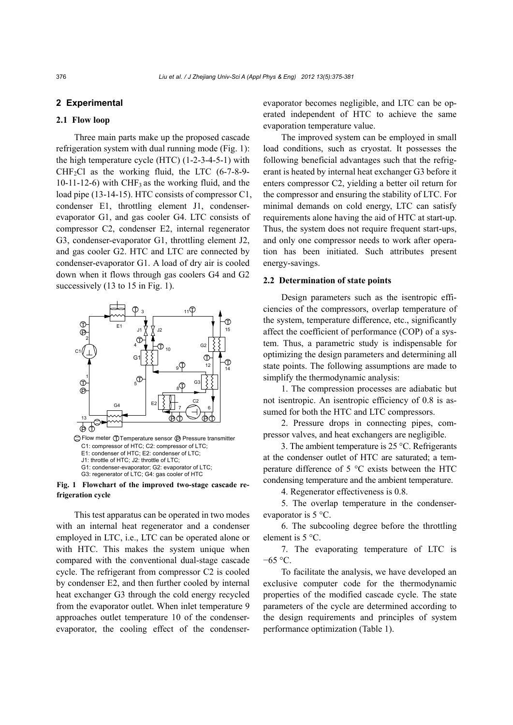# **2 Experimental**

#### **2.1 Flow loop**

Three main parts make up the proposed cascade refrigeration system with dual running mode (Fig. 1): the high temperature cycle (HTC) (1-2-3-4-5-1) with  $CHF<sub>2</sub>Cl$  as the working fluid, the LTC (6-7-8-9-10-11-12-6) with  $CHF<sub>3</sub>$  as the working fluid, and the load pipe (13-14-15). HTC consists of compressor C1, condenser E1, throttling element J1, condenserevaporator G1, and gas cooler G4. LTC consists of compressor C2, condenser E2, internal regenerator G3, condenser-evaporator G1, throttling element J2, and gas cooler G2. HTC and LTC are connected by condenser-evaporator G1. A load of dry air is cooled down when it flows through gas coolers G4 and G2 successively (13 to 15 in Fig. 1).



**Fig. 1 Flowchart of the improved two-stage cascade refrigeration cycle**

This test apparatus can be operated in two modes with an internal heat regenerator and a condenser employed in LTC, i.e., LTC can be operated alone or with HTC. This makes the system unique when compared with the conventional dual-stage cascade cycle. The refrigerant from compressor C2 is cooled by condenser E2, and then further cooled by internal heat exchanger G3 through the cold energy recycled from the evaporator outlet. When inlet temperature 9 approaches outlet temperature 10 of the condenserevaporator, the cooling effect of the condenserevaporator becomes negligible, and LTC can be operated independent of HTC to achieve the same evaporation temperature value.

The improved system can be employed in small load conditions, such as cryostat. It possesses the following beneficial advantages such that the refrigerant is heated by internal heat exchanger G3 before it enters compressor C2, yielding a better oil return for the compressor and ensuring the stability of LTC. For minimal demands on cold energy, LTC can satisfy requirements alone having the aid of HTC at start-up. Thus, the system does not require frequent start-ups, and only one compressor needs to work after operation has been initiated. Such attributes present energy-savings.

# **2.2 Determination of state points**

Design parameters such as the isentropic efficiencies of the compressors, overlap temperature of the system, temperature difference, etc., significantly affect the coefficient of performance (COP) of a system. Thus, a parametric study is indispensable for optimizing the design parameters and determining all state points. The following assumptions are made to simplify the thermodynamic analysis:

1. The compression processes are adiabatic but not isentropic. An isentropic efficiency of 0.8 is assumed for both the HTC and LTC compressors.

2. Pressure drops in connecting pipes, compressor valves, and heat exchangers are negligible.

3. The ambient temperature is 25 °C. Refrigerants at the condenser outlet of HTC are saturated; a temperature difference of 5 °C exists between the HTC condensing temperature and the ambient temperature.

4. Regenerator effectiveness is 0.8.

5. The overlap temperature in the condenserevaporator is 5 °C.

6. The subcooling degree before the throttling element is 5 °C.

7. The evaporating temperature of LTC is −65 °C.

To facilitate the analysis, we have developed an exclusive computer code for the thermodynamic properties of the modified cascade cycle. The state parameters of the cycle are determined according to the design requirements and principles of system performance optimization (Table 1).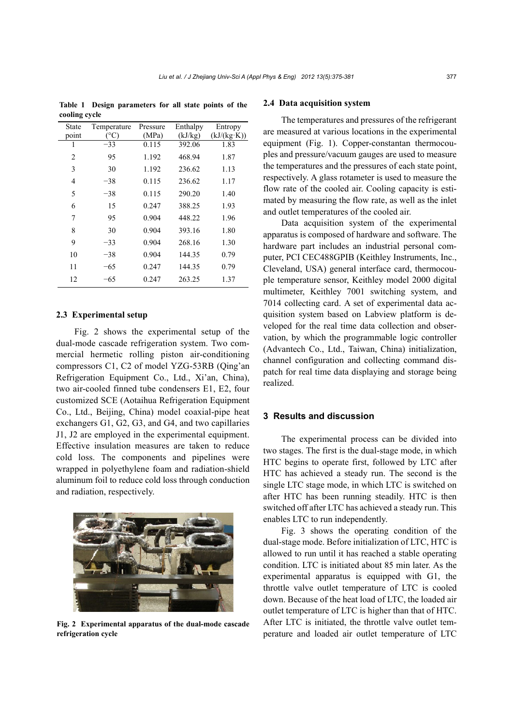**Table 1 Design parameters for all state points of the cooling cycle** 

| State | Temperature   | Pressure | Enthalpy | Entropy     |
|-------|---------------|----------|----------|-------------|
| point | $^{\circ}$ C) | (MPa)    | (kJ/kg)  | (kJ/(kg·K)) |
| 1     | $-33$         | 0.115    | 392.06   | 1.83        |
| 2     | 95            | 1.192    | 468.94   | 1.87        |
| 3     | 30            | 1.192    | 236.62   | 1.13        |
| 4     | $-38$         | 0.115    | 236.62   | 1.17        |
| 5     | $-38$         | 0.115    | 290.20   | 1.40        |
| 6     | 15            | 0.247    | 388.25   | 1.93        |
| 7     | 95            | 0.904    | 448.22   | 1.96        |
| 8     | 30            | 0.904    | 393.16   | 1.80        |
| 9     | $-33$         | 0.904    | 268.16   | 1.30        |
| 10    | $-38$         | 0.904    | 144.35   | 0.79        |
| 11    | $-65$         | 0.247    | 144.35   | 0.79        |
| 12    | $-65$         | 0.247    | 263.25   | 1.37        |

### **2.3 Experimental setup**

Fig. 2 shows the experimental setup of the dual-mode cascade refrigeration system. Two commercial hermetic rolling piston air-conditioning compressors C1, C2 of model YZG-53RB (Qing'an Refrigeration Equipment Co., Ltd., Xi'an, China), two air-cooled finned tube condensers E1, E2, four customized SCE (Aotaihua Refrigeration Equipment Co., Ltd., Beijing, China) model coaxial-pipe heat exchangers G1, G2, G3, and G4, and two capillaries J1, J2 are employed in the experimental equipment. Effective insulation measures are taken to reduce cold loss. The components and pipelines were wrapped in polyethylene foam and radiation-shield aluminum foil to reduce cold loss through conduction and radiation, respectively.



**Fig. 2 Experimental apparatus of the dual-mode cascade refrigeration cycle**

#### **2.4 Data acquisition system**

The temperatures and pressures of the refrigerant are measured at various locations in the experimental equipment (Fig. 1). Copper-constantan thermocouples and pressure/vacuum gauges are used to measure the temperatures and the pressures of each state point, respectively. A glass rotameter is used to measure the flow rate of the cooled air. Cooling capacity is estimated by measuring the flow rate, as well as the inlet and outlet temperatures of the cooled air.

Data acquisition system of the experimental apparatus is composed of hardware and software. The hardware part includes an industrial personal computer, PCI CEC488GPIB (Keithley Instruments, Inc., Cleveland, USA) general interface card, thermocouple temperature sensor, Keithley model 2000 digital multimeter, Keithley 7001 switching system, and 7014 collecting card. A set of experimental data acquisition system based on Labview platform is developed for the real time data collection and observation, by which the programmable logic controller (Advantech Co., Ltd., Taiwan, China) initialization, channel configuration and collecting command dispatch for real time data displaying and storage being realized.

# **3 Results and discussion**

The experimental process can be divided into two stages. The first is the dual-stage mode, in which HTC begins to operate first, followed by LTC after HTC has achieved a steady run. The second is the single LTC stage mode, in which LTC is switched on after HTC has been running steadily. HTC is then switched off after LTC has achieved a steady run. This enables LTC to run independently.

Fig. 3 shows the operating condition of the dual-stage mode. Before initialization of LTC, HTC is allowed to run until it has reached a stable operating condition. LTC is initiated about 85 min later. As the experimental apparatus is equipped with G1, the throttle valve outlet temperature of LTC is cooled down. Because of the heat load of LTC, the loaded air outlet temperature of LTC is higher than that of HTC. After LTC is initiated, the throttle valve outlet temperature and loaded air outlet temperature of LTC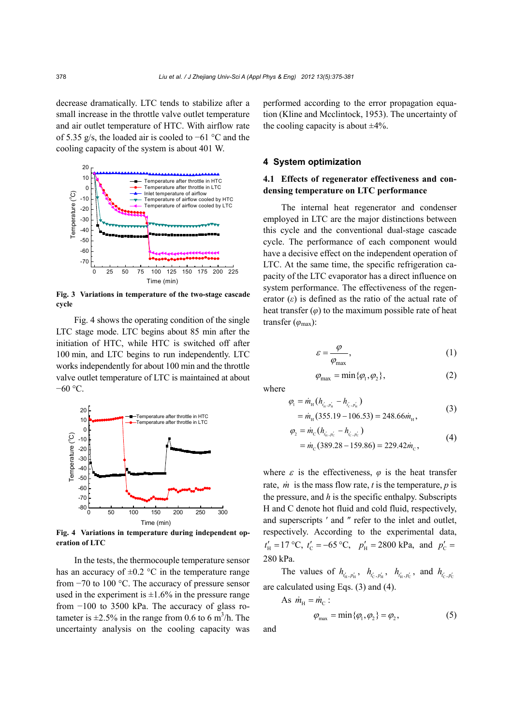decrease dramatically. LTC tends to stabilize after a small increase in the throttle valve outlet temperature and air outlet temperature of HTC. With airflow rate of 5.35 g/s, the loaded air is cooled to −61 °C and the cooling capacity of the system is about 401 W.



**Fig. 3 Variations in temperature of the two-stage cascade cycle**

Fig. 4 shows the operating condition of the single LTC stage mode. LTC begins about 85 min after the initiation of HTC, while HTC is switched off after 100 min, and LTC begins to run independently. LTC works independently for about 100 min and the throttle valve outlet temperature of LTC is maintained at about −60 °C.



**Fig. 4 Variations in temperature during independent operation of LTC** 

In the tests, the thermocouple temperature sensor has an accuracy of  $\pm 0.2$  °C in the temperature range from −70 to 100 °C. The accuracy of pressure sensor used in the experiment is  $\pm 1.6\%$  in the pressure range from −100 to 3500 kPa. The accuracy of glass rotameter is  $\pm 2.5\%$  in the range from 0.6 to 6 m<sup>3</sup>/h. The uncertainty analysis on the cooling capacity was

performed according to the error propagation equation (Kline and Mcclintock, 1953). The uncertainty of the cooling capacity is about  $\pm 4\%$ .

## **4 System optimization**

# **4.1 Effects of regenerator effectiveness and condensing temperature on LTC performance**

The internal heat regenerator and condenser employed in LTC are the major distinctions between this cycle and the conventional dual-stage cascade cycle. The performance of each component would have a decisive effect on the independent operation of LTC. At the same time, the specific refrigeration capacity of the LTC evaporator has a direct influence on system performance. The effectiveness of the regenerator (*ε*) is defined as the ratio of the actual rate of heat transfer  $(\varphi)$  to the maximum possible rate of heat transfer (*φ*max):

$$
\varepsilon = \frac{\varphi}{\varphi_{\text{max}}},\tag{1}
$$

$$
\varphi_{\text{max}} = \min \{ \varphi_1, \varphi_2 \},\tag{2}
$$

where

$$
\varphi_1 = \dot{m}_{\rm H} (h_{i'_{\rm H}, p'_{\rm H}} - h_{i'_{\rm C}, p'_{\rm H}})
$$
  
= 
$$
\dot{m}_{\rm H} (355.19 - 106.53) = 248.66 \dot{m}_{\rm H},
$$
 (3)

$$
\varphi_2 = \dot{m}_{\rm c} (h_{t'_{\rm i}, p'_{\rm c}} - h_{t'_{\rm c}, p'_{\rm c}})
$$
  
= 
$$
\dot{m}_{\rm c} (389.28 - 159.86) = 229.42 \dot{m}_{\rm c},
$$
 (4)

where  $\varepsilon$  is the effectiveness,  $\varphi$  is the heat transfer rate, *m* is the mass flow rate, *t* is the temperature, *p* is the pressure, and *h* is the specific enthalpy. Subscripts H and C denote hot fluid and cold fluid, respectively, and superscripts ′ and ″ refer to the inlet and outlet, respectively. According to the experimental data,  $t'_{\text{H}} = 17 \text{ °C}, t'_{\text{C}} = -65 \text{ °C}, p'_{\text{H}} = 2800 \text{ kPa}, \text{ and } p'_{\text{C}} =$ 280 kPa.

The values of  $h_{t'_{H}, p'_{H}}$ ,  $h_{t'_{C}, p'_{H}}$ ,  $h_{t'_{H}, p'_{C}}$ , and  $h_{t'_{C}, p'_{C}}$ are calculated using Eqs. (3) and (4).

As  $\dot{m}_{\text{H}} = \dot{m}_{\text{C}}$ :

$$
\varphi_{\text{max}} = \min \{ \varphi_1, \varphi_2 \} = \varphi_2,\tag{5}
$$

and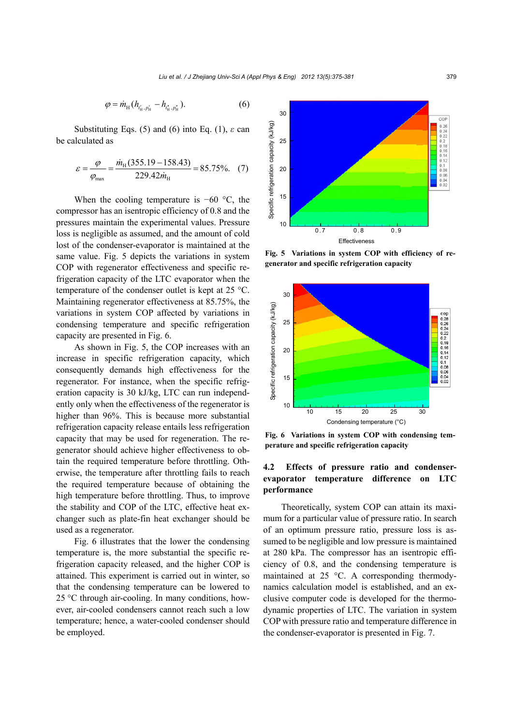$$
\varphi = \dot{m}_{\rm H} (h_{t'_{\rm H}, p'_{\rm H}} - h_{t''_{\rm H}, p''_{\rm H}}). \tag{6}
$$

Substituting Eqs. (5) and (6) into Eq. (1),  $\varepsilon$  can be calculated as

$$
\varepsilon = \frac{\varphi}{\varphi_{\text{max}}} = \frac{\dot{m}_{\text{H}}(355.19 - 158.43)}{229.42 \dot{m}_{\text{H}}} = 85.75\%.\tag{7}
$$

When the cooling temperature is  $-60$  °C, the compressor has an isentropic efficiency of 0.8 and the pressures maintain the experimental values. Pressure loss is negligible as assumed, and the amount of cold lost of the condenser-evaporator is maintained at the same value. Fig. 5 depicts the variations in system COP with regenerator effectiveness and specific refrigeration capacity of the LTC evaporator when the temperature of the condenser outlet is kept at 25 °C. Maintaining regenerator effectiveness at 85.75%, the variations in system COP affected by variations in condensing temperature and specific refrigeration capacity are presented in Fig. 6.

As shown in Fig. 5, the COP increases with an increase in specific refrigeration capacity, which consequently demands high effectiveness for the regenerator. For instance, when the specific refrigeration capacity is 30 kJ/kg, LTC can run independently only when the effectiveness of the regenerator is higher than 96%. This is because more substantial refrigeration capacity release entails less refrigeration capacity that may be used for regeneration. The regenerator should achieve higher effectiveness to obtain the required temperature before throttling. Otherwise, the temperature after throttling fails to reach the required temperature because of obtaining the high temperature before throttling. Thus, to improve the stability and COP of the LTC, effective heat exchanger such as plate-fin heat exchanger should be used as a regenerator.

Fig. 6 illustrates that the lower the condensing temperature is, the more substantial the specific refrigeration capacity released, and the higher COP is attained. This experiment is carried out in winter, so that the condensing temperature can be lowered to 25 °C through air-cooling. In many conditions, however, air-cooled condensers cannot reach such a low temperature; hence, a water-cooled condenser should be employed.



**Fig. 5 Variations in system COP with efficiency of re-**



**Fig. 6 Variations in system COP with condensing temperature and specific refrigeration capacity**

# **4.2 Effects of pressure ratio and condenserevaporator temperature difference on LTC performance**

Theoretically, system COP can attain its maximum for a particular value of pressure ratio. In search of an optimum pressure ratio, pressure loss is assumed to be negligible and low pressure is maintained at 280 kPa. The compressor has an isentropic efficiency of 0.8, and the condensing temperature is maintained at 25 °C. A corresponding thermodynamics calculation model is established, and an exclusive computer code is developed for the thermodynamic properties of LTC. The variation in system COP with pressure ratio and temperature difference in the condenser-evaporator is presented in Fig. 7.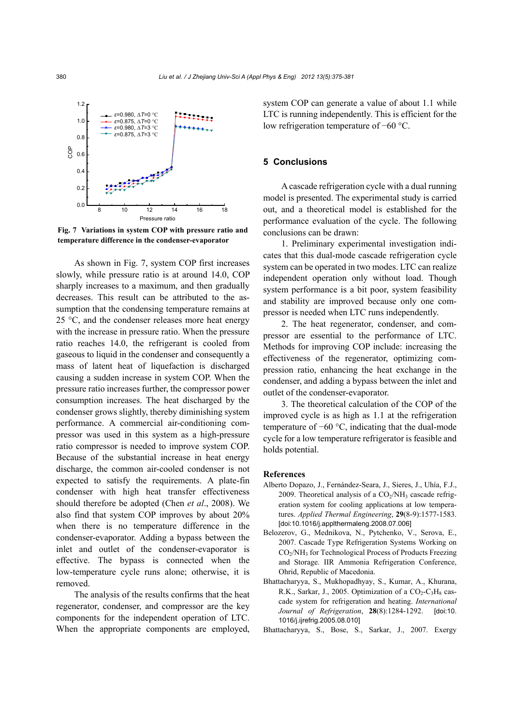

**Fig. 7 Variations in system COP with pressure ratio and temperature difference in the condenser-evaporator** 

As shown in Fig. 7, system COP first increases slowly, while pressure ratio is at around 14.0, COP sharply increases to a maximum, and then gradually decreases. This result can be attributed to the assumption that the condensing temperature remains at 25 °C, and the condenser releases more heat energy with the increase in pressure ratio. When the pressure ratio reaches 14.0, the refrigerant is cooled from gaseous to liquid in the condenser and consequently a mass of latent heat of liquefaction is discharged causing a sudden increase in system COP. When the pressure ratio increases further, the compressor power consumption increases. The heat discharged by the condenser grows slightly, thereby diminishing system performance. A commercial air-conditioning compressor was used in this system as a high-pressure ratio compressor is needed to improve system COP. Because of the substantial increase in heat energy discharge, the common air-cooled condenser is not expected to satisfy the requirements. A plate-fin condenser with high heat transfer effectiveness should therefore be adopted (Chen *et al*., 2008). We also find that system COP improves by about 20% when there is no temperature difference in the condenser-evaporator. Adding a bypass between the inlet and outlet of the condenser-evaporator is effective. The bypass is connected when the low-temperature cycle runs alone; otherwise, it is removed.

The analysis of the results confirms that the heat regenerator, condenser, and compressor are the key components for the independent operation of LTC. When the appropriate components are employed, system COP can generate a value of about 1.1 while LTC is running independently. This is efficient for the low refrigeration temperature of −60 °C.

#### **5 Conclusions**

A cascade refrigeration cycle with a dual running model is presented. The experimental study is carried out, and a theoretical model is established for the performance evaluation of the cycle. The following conclusions can be drawn:

1. Preliminary experimental investigation indicates that this dual-mode cascade refrigeration cycle system can be operated in two modes. LTC can realize independent operation only without load. Though system performance is a bit poor, system feasibility and stability are improved because only one compressor is needed when LTC runs independently.

2. The heat regenerator, condenser, and compressor are essential to the performance of LTC. Methods for improving COP include: increasing the effectiveness of the regenerator, optimizing compression ratio, enhancing the heat exchange in the condenser, and adding a bypass between the inlet and outlet of the condenser-evaporator.

3. The theoretical calculation of the COP of the improved cycle is as high as 1.1 at the refrigeration temperature of −60 °C, indicating that the dual-mode cycle for a low temperature refrigerator is feasible and holds potential.

## **References**

- Alberto Dopazo, J., Fernández-Seara, J., Sieres, J., Uhía, F.J., 2009. Theoretical analysis of a  $CO<sub>2</sub>/NH<sub>3</sub>$  cascade refrigeration system for cooling applications at low temperatures. *Applied Thermal Engineering*, **29**(8-9):1577-1583. [doi:10.1016/j.applthermaleng.2008.07.006]
- Belozerov, G., Mednikova, N., Pytchenko, V., Serova, E., 2007. Cascade Type Refrigeration Systems Working on CO<sub>2</sub>/NH<sub>3</sub> for Technological Process of Products Freezing and Storage. IIR Ammonia Refrigeration Conference, Ohrid, Republic of Macedonia.
- Bhattacharyya, S., Mukhopadhyay, S., Kumar, A., Khurana, R.K., Sarkar, J., 2005. Optimization of a  $CO<sub>2</sub>-C<sub>3</sub>H<sub>8</sub>$  cascade system for refrigeration and heating. *International Journal of Refrigeration*, **28**(8):1284-1292. [doi:10. 1016/j.ijrefrig.2005.08.010]
- Bhattacharyya, S., Bose, S., Sarkar, J., 2007. Exergy